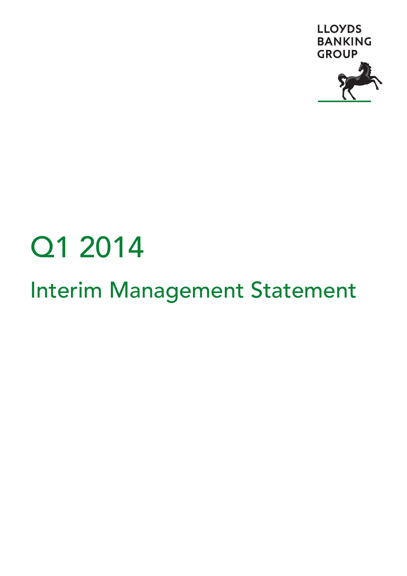

# Q1 2014

## Interim Management Statement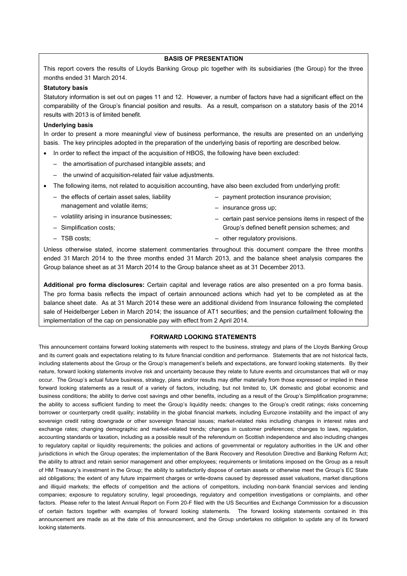#### **BASIS OF PRESENTATION**

This report covers the results of Lloyds Banking Group plc together with its subsidiaries (the Group) for the three months ended 31 March 2014.

#### **Statutory basis**

Statutory information is set out on pages 11 and 12. However, a number of factors have had a significant effect on the comparability of the Group's financial position and results. As a result, comparison on a statutory basis of the 2014 results with 2013 is of limited benefit.

#### **Underlying basis**

In order to present a more meaningful view of business performance, the results are presented on an underlying basis. The key principles adopted in the preparation of the underlying basis of reporting are described below.

- In order to reflect the impact of the acquisition of HBOS, the following have been excluded:
	- the amortisation of purchased intangible assets; and
	- the unwind of acquisition-related fair value adjustments.
- The following items, not related to acquisition accounting, have also been excluded from underlying profit:
	- the effects of certain asset sales, liability management and volatile items;
	- volatility arising in insurance businesses;
	- Simplification costs;

– TSB costs;

- payment protection insurance provision;
- insurance gross up;
- certain past service pensions items in respect of the Group's defined benefit pension schemes; and
- other regulatory provisions.

Unless otherwise stated, income statement commentaries throughout this document compare the three months ended 31 March 2014 to the three months ended 31 March 2013, and the balance sheet analysis compares the Group balance sheet as at 31 March 2014 to the Group balance sheet as at 31 December 2013.

**Additional pro forma disclosures:** Certain capital and leverage ratios are also presented on a pro forma basis. The pro forma basis reflects the impact of certain announced actions which had yet to be completed as at the balance sheet date. As at 31 March 2014 these were an additional dividend from Insurance following the completed sale of Heidelberger Leben in March 2014; the issuance of AT1 securities; and the pension curtailment following the implementation of the cap on pensionable pay with effect from 2 April 2014.

#### **FORWARD LOOKING STATEMENTS**

This announcement contains forward looking statements with respect to the business, strategy and plans of the Lloyds Banking Group and its current goals and expectations relating to its future financial condition and performance. Statements that are not historical facts, including statements about the Group or the Group's management's beliefs and expectations, are forward looking statements. By their nature, forward looking statements involve risk and uncertainty because they relate to future events and circumstances that will or may occur. The Group's actual future business, strategy, plans and/or results may differ materially from those expressed or implied in these forward looking statements as a result of a variety of factors, including, but not limited to, UK domestic and global economic and business conditions; the ability to derive cost savings and other benefits, including as a result of the Group's Simplification programme; the ability to access sufficient funding to meet the Group's liquidity needs; changes to the Group's credit ratings; risks concerning borrower or counterparty credit quality; instability in the global financial markets, including Eurozone instability and the impact of any sovereign credit rating downgrade or other sovereign financial issues; market-related risks including changes in interest rates and exchange rates; changing demographic and market-related trends; changes in customer preferences; changes to laws, regulation, accounting standards or taxation, including as a possible result of the referendum on Scottish independence and also including changes to regulatory capital or liquidity requirements; the policies and actions of governmental or regulatory authorities in the UK and other jurisdictions in which the Group operates; the implementation of the Bank Recovery and Resolution Directive and Banking Reform Act; the ability to attract and retain senior management and other employees; requirements or limitations imposed on the Group as a result of HM Treasury's investment in the Group; the ability to satisfactorily dispose of certain assets or otherwise meet the Group's EC State aid obligations; the extent of any future impairment charges or write-downs caused by depressed asset valuations, market disruptions and illiquid markets; the effects of competition and the actions of competitors, including non-bank financial services and lending companies; exposure to regulatory scrutiny, legal proceedings, regulatory and competition investigations or complaints, and other factors. Please refer to the latest Annual Report on Form 20-F filed with the US Securities and Exchange Commission for a discussion of certain factors together with examples of forward looking statements. The forward looking statements contained in this announcement are made as at the date of this announcement, and the Group undertakes no obligation to update any of its forward looking statements.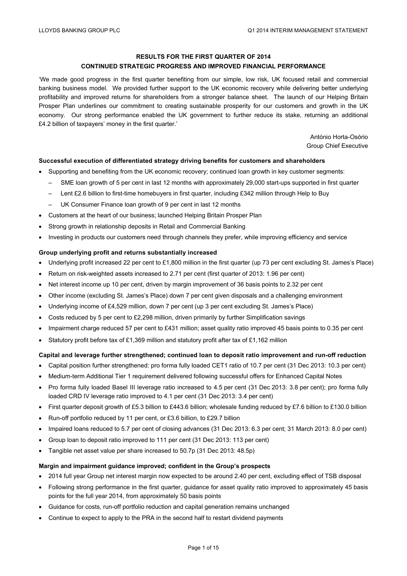#### **RESULTS FOR THE FIRST QUARTER OF 2014**

#### **CONTINUED STRATEGIC PROGRESS AND IMPROVED FINANCIAL PERFORMANCE**

'We made good progress in the first quarter benefiting from our simple, low risk, UK focused retail and commercial banking business model. We provided further support to the UK economic recovery while delivering better underlying profitability and improved returns for shareholders from a stronger balance sheet. The launch of our Helping Britain Prosper Plan underlines our commitment to creating sustainable prosperity for our customers and growth in the UK economy. Our strong performance enabled the UK government to further reduce its stake, returning an additional £4.2 billion of taxpayers' money in the first quarter.'

> António Horta-Osório Group Chief Executive

#### **Successful execution of differentiated strategy driving benefits for customers and shareholders**

- Supporting and benefiting from the UK economic recovery; continued loan growth in key customer segments:
	- SME loan growth of 5 per cent in last 12 months with approximately 29,000 start-ups supported in first quarter
	- Lent £2.6 billion to first-time homebuyers in first quarter, including £342 million through Help to Buy
	- UK Consumer Finance loan growth of 9 per cent in last 12 months
- Customers at the heart of our business; launched Helping Britain Prosper Plan
- Strong growth in relationship deposits in Retail and Commercial Banking
- Investing in products our customers need through channels they prefer, while improving efficiency and service

#### **Group underlying profit and returns substantially increased**

- Underlying profit increased 22 per cent to £1,800 million in the first quarter (up 73 per cent excluding St. James's Place)
- Return on risk-weighted assets increased to 2.71 per cent (first quarter of 2013: 1.96 per cent)
- Net interest income up 10 per cent, driven by margin improvement of 36 basis points to 2.32 per cent
- Other income (excluding St. James's Place) down 7 per cent given disposals and a challenging environment
- Underlying income of £4,529 million, down 7 per cent (up 3 per cent excluding St. James's Place)
- Costs reduced by 5 per cent to £2,298 million, driven primarily by further Simplification savings
- Impairment charge reduced 57 per cent to £431 million; asset quality ratio improved 45 basis points to 0.35 per cent
- Statutory profit before tax of £1,369 million and statutory profit after tax of £1,162 million

#### **Capital and leverage further strengthened; continued loan to deposit ratio improvement and run-off reduction**

- Capital position further strengthened: pro forma fully loaded CET1 ratio of 10.7 per cent (31 Dec 2013: 10.3 per cent)
- Medium-term Additional Tier 1 requirement delivered following successful offers for Enhanced Capital Notes
- Pro forma fully loaded Basel III leverage ratio increased to 4.5 per cent (31 Dec 2013: 3.8 per cent); pro forma fully loaded CRD IV leverage ratio improved to 4.1 per cent (31 Dec 2013: 3.4 per cent)
- First quarter deposit growth of £5.3 billion to £443.6 billion; wholesale funding reduced by £7.6 billion to £130.0 billion
- Run-off portfolio reduced by 11 per cent, or £3.6 billion, to £29.7 billion
- Impaired loans reduced to 5.7 per cent of closing advances (31 Dec 2013: 6.3 per cent; 31 March 2013: 8.0 per cent)
- Group loan to deposit ratio improved to 111 per cent (31 Dec 2013: 113 per cent)
- Tangible net asset value per share increased to 50.7p (31 Dec 2013: 48.5p)

#### **Margin and impairment guidance improved; confident in the Group's prospects**

- 2014 full year Group net interest margin now expected to be around 2.40 per cent, excluding effect of TSB disposal
- Following strong performance in the first quarter, guidance for asset quality ratio improved to approximately 45 basis points for the full year 2014, from approximately 50 basis points
- Guidance for costs, run-off portfolio reduction and capital generation remains unchanged
- Continue to expect to apply to the PRA in the second half to restart dividend payments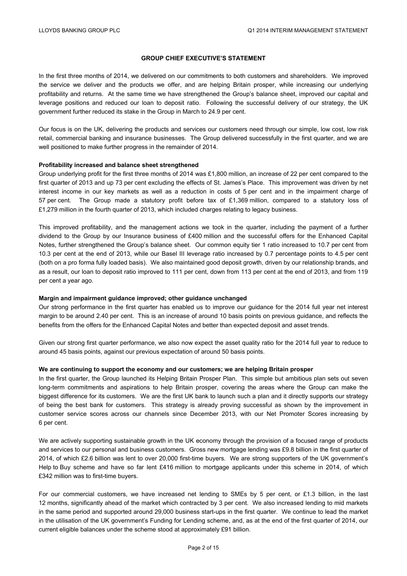#### **GROUP CHIEF EXECUTIVE'S STATEMENT**

In the first three months of 2014, we delivered on our commitments to both customers and shareholders. We improved the service we deliver and the products we offer, and are helping Britain prosper, while increasing our underlying profitability and returns. At the same time we have strengthened the Group's balance sheet, improved our capital and leverage positions and reduced our loan to deposit ratio. Following the successful delivery of our strategy, the UK government further reduced its stake in the Group in March to 24.9 per cent.

Our focus is on the UK, delivering the products and services our customers need through our simple, low cost, low risk retail, commercial banking and insurance businesses. The Group delivered successfully in the first quarter, and we are well positioned to make further progress in the remainder of 2014.

#### **Profitability increased and balance sheet strengthened**

Group underlying profit for the first three months of 2014 was £1,800 million, an increase of 22 per cent compared to the first quarter of 2013 and up 73 per cent excluding the effects of St. James's Place. This improvement was driven by net interest income in our key markets as well as a reduction in costs of 5 per cent and in the impairment charge of 57 per cent. The Group made a statutory profit before tax of £1,369 million, compared to a statutory loss of £1,279 million in the fourth quarter of 2013, which included charges relating to legacy business.

This improved profitability, and the management actions we took in the quarter, including the payment of a further dividend to the Group by our Insurance business of £400 million and the successful offers for the Enhanced Capital Notes, further strengthened the Group's balance sheet. Our common equity tier 1 ratio increased to 10.7 per cent from 10.3 per cent at the end of 2013, while our Basel III leverage ratio increased by 0.7 percentage points to 4.5 per cent (both on a pro forma fully loaded basis). We also maintained good deposit growth, driven by our relationship brands, and as a result, our loan to deposit ratio improved to 111 per cent, down from 113 per cent at the end of 2013, and from 119 per cent a year ago.

#### **Margin and impairment guidance improved; other guidance unchanged**

Our strong performance in the first quarter has enabled us to improve our guidance for the 2014 full year net interest margin to be around 2.40 per cent. This is an increase of around 10 basis points on previous guidance, and reflects the benefits from the offers for the Enhanced Capital Notes and better than expected deposit and asset trends.

Given our strong first quarter performance, we also now expect the asset quality ratio for the 2014 full year to reduce to around 45 basis points, against our previous expectation of around 50 basis points.

#### **We are continuing to support the economy and our customers; we are helping Britain prosper**

In the first quarter, the Group launched its Helping Britain Prosper Plan. This simple but ambitious plan sets out seven long-term commitments and aspirations to help Britain prosper, covering the areas where the Group can make the biggest difference for its customers. We are the first UK bank to launch such a plan and it directly supports our strategy of being the best bank for customers. This strategy is already proving successful as shown by the improvement in customer service scores across our channels since December 2013, with our Net Promoter Scores increasing by 6 per cent.

We are actively supporting sustainable growth in the UK economy through the provision of a focused range of products and services to our personal and business customers. Gross new mortgage lending was £9.8 billion in the first quarter of 2014, of which £2.6 billion was lent to over 20,000 first-time buyers. We are strong supporters of the UK government's Help to Buy scheme and have so far lent £416 million to mortgage applicants under this scheme in 2014, of which £342 million was to first-time buyers.

For our commercial customers, we have increased net lending to SMEs by 5 per cent, or £1.3 billion, in the last 12 months, significantly ahead of the market which contracted by 3 per cent. We also increased lending to mid markets in the same period and supported around 29,000 business start-ups in the first quarter. We continue to lead the market in the utilisation of the UK government's Funding for Lending scheme, and, as at the end of the first quarter of 2014, our current eligible balances under the scheme stood at approximately £91 billion.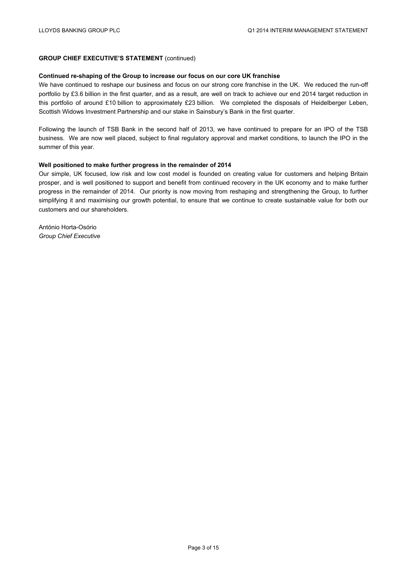#### **GROUP CHIEF EXECUTIVE'S STATEMENT** (continued)

#### **Continued re-shaping of the Group to increase our focus on our core UK franchise**

We have continued to reshape our business and focus on our strong core franchise in the UK. We reduced the run-off portfolio by £3.6 billion in the first quarter, and as a result, are well on track to achieve our end 2014 target reduction in this portfolio of around £10 billion to approximately £23 billion. We completed the disposals of Heidelberger Leben, Scottish Widows Investment Partnership and our stake in Sainsbury's Bank in the first quarter.

Following the launch of TSB Bank in the second half of 2013, we have continued to prepare for an IPO of the TSB business. We are now well placed, subject to final regulatory approval and market conditions, to launch the IPO in the summer of this year.

#### **Well positioned to make further progress in the remainder of 2014**

Our simple, UK focused, low risk and low cost model is founded on creating value for customers and helping Britain prosper, and is well positioned to support and benefit from continued recovery in the UK economy and to make further progress in the remainder of 2014. Our priority is now moving from reshaping and strengthening the Group, to further simplifying it and maximising our growth potential, to ensure that we continue to create sustainable value for both our customers and our shareholders.

António Horta-Osório *Group Chief Executive*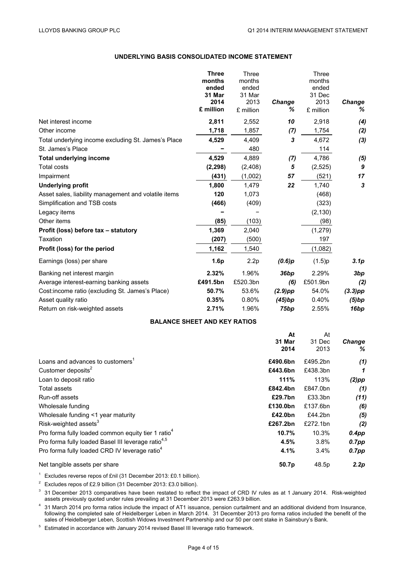#### **UNDERLYING BASIS CONSOLIDATED INCOME STATEMENT**

|                                                      | <b>Three</b> | Three     |               | Three     |                  |
|------------------------------------------------------|--------------|-----------|---------------|-----------|------------------|
|                                                      | months       | months    |               | months    |                  |
|                                                      | ended        | ended     |               | ended     |                  |
|                                                      | 31 Mar       | 31 Mar    |               | 31 Dec    |                  |
|                                                      | 2014         | 2013      | <b>Change</b> | 2013      | Change           |
|                                                      | £ million    | £ million | ℅             | £ million | %                |
| Net interest income                                  | 2,811        | 2,552     | 10            | 2,918     | (4)              |
| Other income                                         | 1,718        | 1,857     | (7)           | 1,754     | (2)              |
| Total underlying income excluding St. James's Place  | 4,529        | 4,409     | 3             | 4,672     | (3)              |
| St. James's Place                                    |              | 480       |               | 114       |                  |
| <b>Total underlying income</b>                       | 4,529        | 4,889     | (7)           | 4,786     | (5)              |
| <b>Total costs</b>                                   | (2, 298)     | (2,408)   | 5             | (2,525)   | 9                |
| Impairment                                           | (431)        | (1,002)   | 57            | (521)     | 17               |
| <b>Underlying profit</b>                             | 1,800        | 1,479     | 22            | 1,740     | 3                |
| Asset sales, liability management and volatile items | 120          | 1,073     |               | (468)     |                  |
| Simplification and TSB costs                         | (466)        | (409)     |               | (323)     |                  |
| Legacy items                                         |              |           |               | (2, 130)  |                  |
| Other items                                          | (85)         | (103)     |               | (98)      |                  |
| Profit (loss) before tax - statutory                 | 1,369        | 2,040     |               | (1, 279)  |                  |
| Taxation                                             | (207)        | (500)     |               | 197       |                  |
| Profit (loss) for the period                         | 1,162        | 1,540     |               | (1,082)   |                  |
| Earnings (loss) per share                            | 1.6p         | 2.2p      | (0.6)p        | (1.5)p    | 3.1 <sub>p</sub> |
| Banking net interest margin                          | 2.32%        | 1.96%     | 36bp          | 2.29%     | 3bp              |
| Average interest-earning banking assets              | £491.5bn     | £520.3bn  | (6)           | £501.9bn  | (2)              |
| Cost: income ratio (excluding St. James's Place)     | 50.7%        | 53.6%     | $(2.9)$ pp    | 54.0%     | $(3.3)$ pp       |
| Asset quality ratio                                  | 0.35%        | 0.80%     | (45)bp        | 0.40%     | (5)bp            |
| Return on risk-weighted assets                       | 2.71%        | 1.96%     | 75bp          | 2.55%     | 16bp             |

#### **BALANCE SHEET AND KEY RATIOS**

|                                                                | At       | At                |               |
|----------------------------------------------------------------|----------|-------------------|---------------|
|                                                                | 31 Mar   | 31 Dec            | <b>Change</b> |
|                                                                | 2014     | 2013              | %             |
| Loans and advances to customers <sup>1</sup>                   | £490.6bn | £495.2bn          | (1)           |
| Customer deposits <sup>2</sup>                                 | £443.6bn | £438.3bn          | 1             |
| Loan to deposit ratio                                          | 111%     | 113%              | $(2)$ pp      |
| Total assets                                                   | £842.4bn | £847.0bn          | (1)           |
| Run-off assets                                                 | £29.7bn  | £33.3bn           | (11)          |
| Wholesale funding                                              | £130.0bn | £137.6bn          | (6)           |
| Wholesale funding <1 year maturity                             | £42.0bn  | £44.2bn           | (5)           |
| Risk-weighted assets <sup>3</sup>                              | £267.2bn | £272.1bn          | (2)           |
| Pro forma fully loaded common equity tier 1 ratio <sup>4</sup> | 10.7%    | 10.3%             | $0.4$ pp      |
| Pro forma fully loaded Basel III leverage ratio <sup>4,5</sup> | 4.5%     | 3.8%              | $0.7$ pp      |
| Pro forma fully loaded CRD IV leverage ratio <sup>4</sup>      | 4.1%     | $3.4\%$           | $0.7$ pp      |
| Net tangible assets per share                                  | 50.7p    | 48.5 <sub>p</sub> | 2.2p          |

<sup>1</sup> Excludes reverse repos of £nil (31 December 2013: £0.1 billion).

<sup>2</sup> Excludes repos of £2.9 billion (31 December 2013: £3.0 billion).

<sup>3</sup> 31 December 2013 comparatives have been restated to reflect the impact of CRD IV rules as at 1 January 2014. Risk-weighted assets previously quoted under rules prevailing at 31 December 2013 were £263.9 billion.

 $^4$  31 March 2014 pro forma ratios include the impact of AT1 issuance, pension curtailment and an additional dividend from Insurance, following the completed sale of Heidelberger Leben in March 2014. 31 December 2013 pro forma ratios included the benefit of the sales of Heidelberger Leben, Scottish Widows Investment Partnership and our 50 per cent stake in Sainsbury's Bank.

<sup>5</sup> Estimated in accordance with January 2014 revised Basel III leverage ratio framework.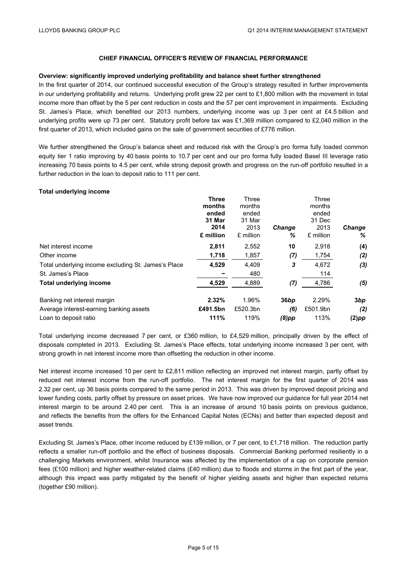#### **Overview: significantly improved underlying profitability and balance sheet further strengthened**

In the first quarter of 2014, our continued successful execution of the Group's strategy resulted in further improvements in our underlying profitability and returns. Underlying profit grew 22 per cent to £1,800 million with the movement in total income more than offset by the 5 per cent reduction in costs and the 57 per cent improvement in impairments. Excluding St. James's Place, which benefited our 2013 numbers, underlying income was up 3 per cent at £4.5 billion and underlying profits were up 73 per cent. Statutory profit before tax was £1,369 million compared to £2,040 million in the first quarter of 2013, which included gains on the sale of government securities of £776 million.

We further strengthened the Group's balance sheet and reduced risk with the Group's pro forma fully loaded common equity tier 1 ratio improving by 40 basis points to 10.7 per cent and our pro forma fully loaded Basel III leverage ratio increasing 70 basis points to 4.5 per cent, while strong deposit growth and progress on the run-off portfolio resulted in a further reduction in the loan to deposit ratio to 111 per cent.

#### **Total underlying income**

|                                                     | <b>Three</b> | Three     |               | Three     |          |
|-----------------------------------------------------|--------------|-----------|---------------|-----------|----------|
|                                                     | months       | months    |               | months    |          |
|                                                     | ended        | ended     |               | ended     |          |
|                                                     | 31 Mar       | 31 Mar    |               | 31 Dec    |          |
|                                                     | 2014         | 2013      | <b>Change</b> | 2013      | Change   |
|                                                     | £ million    | £ million | ℅             | £ million | ℅        |
| Net interest income                                 | 2,811        | 2,552     | 10            | 2,918     | (4)      |
| Other income                                        | 1,718        | 1,857     | (7)           | 1,754     | (2)      |
| Total underlying income excluding St. James's Place | 4,529        | 4.409     | 3             | 4.672     | (3)      |
| St. James's Place                                   |              | 480       |               | 114       |          |
| <b>Total underlying income</b>                      | 4,529        | 4,889     | (7)           | 4,786     | (5)      |
| Banking net interest margin                         | 2.32%        | 1.96%     | 36bp          | 2.29%     | 3bp      |
| Average interest-earning banking assets             | £491.5bn     | £520.3bn  | (6)           | £501.9bn  | (2)      |
| Loan to deposit ratio                               | 111%         | 119%      | $(8)$ pp      | 113%      | $(2)$ pp |

Total underlying income decreased 7 per cent, or £360 million, to £4,529 million, principally driven by the effect of disposals completed in 2013. Excluding St. James's Place effects, total underlying income increased 3 per cent, with strong growth in net interest income more than offsetting the reduction in other income.

Net interest income increased 10 per cent to £2,811 million reflecting an improved net interest margin, partly offset by reduced net interest income from the run-off portfolio. The net interest margin for the first quarter of 2014 was 2.32 per cent, up 36 basis points compared to the same period in 2013. This was driven by improved deposit pricing and lower funding costs, partly offset by pressure on asset prices. We have now improved our guidance for full year 2014 net interest margin to be around 2.40 per cent. This is an increase of around 10 basis points on previous guidance, and reflects the benefits from the offers for the Enhanced Capital Notes (ECNs) and better than expected deposit and asset trends.

Excluding St. James's Place, other income reduced by £139 million, or 7 per cent, to £1,718 million. The reduction partly reflects a smaller run-off portfolio and the effect of business disposals. Commercial Banking performed resiliently in a challenging Markets environment, whilst Insurance was affected by the implementation of a cap on corporate pension fees (£100 million) and higher weather-related claims (£40 million) due to floods and storms in the first part of the year, although this impact was partly mitigated by the benefit of higher yielding assets and higher than expected returns (together £90 million).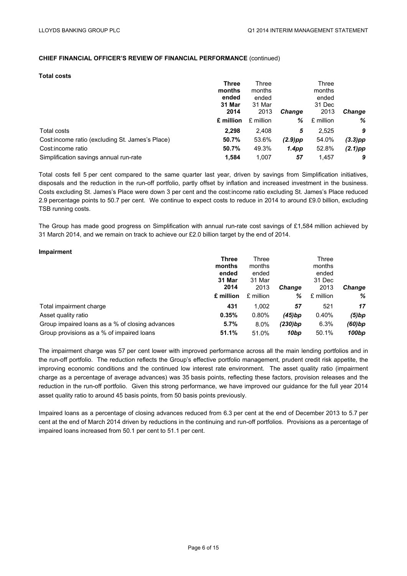#### **Total costs**

|                                                  | <b>Three</b> | Three     |               | Three     |            |
|--------------------------------------------------|--------------|-----------|---------------|-----------|------------|
|                                                  | months       | months    |               | months    |            |
|                                                  | ended        | ended     |               | ended     |            |
|                                                  | 31 Mar       | 31 Mar    |               | 31 Dec    |            |
|                                                  | 2014         | 2013      | <b>Change</b> | 2013      | Change     |
|                                                  | £ million    | £ million | ℅             | £ million | %          |
| Total costs                                      | 2,298        | 2,408     | 5             | 2.525     | 9          |
| Cost: income ratio (excluding St. James's Place) | 50.7%        | 53.6%     | $(2.9)$ pp    | 54.0%     | $(3.3)$ pp |
| Cost:income ratio                                | 50.7%        | 49.3%     | 1.4pp         | 52.8%     | $(2.1)$ pp |
| Simplification savings annual run-rate           | 1.584        | 1.007     | 57            | 1.457     | 9          |

Total costs fell 5 per cent compared to the same quarter last year, driven by savings from Simplification initiatives, disposals and the reduction in the run-off portfolio, partly offset by inflation and increased investment in the business. Costs excluding St. James's Place were down 3 per cent and the cost:income ratio excluding St. James's Place reduced 2.9 percentage points to 50.7 per cent. We continue to expect costs to reduce in 2014 to around £9.0 billion, excluding TSB running costs.

The Group has made good progress on Simplification with annual run-rate cost savings of £1,584 million achieved by 31 March 2014, and we remain on track to achieve our £2.0 billion target by the end of 2014.

| Impairment                                      |              |           |               |           |               |
|-------------------------------------------------|--------------|-----------|---------------|-----------|---------------|
|                                                 | <b>Three</b> | Three     |               | Three     |               |
|                                                 | months       | months    |               | months    |               |
|                                                 | ended        | ended     |               | ended     |               |
|                                                 | 31 Mar       | 31 Mar    |               | 31 Dec    |               |
|                                                 | 2014         | 2013      | <b>Change</b> | 2013      | <b>Change</b> |
|                                                 | £ million    | £ million | %             | £ million | %             |
| Total impairment charge                         | 431          | 1,002     | 57            | 521       | 17            |
| Asset quality ratio                             | 0.35%        | $0.80\%$  | (45)bp        | 0.40%     | (5)bp         |
| Group impaired loans as a % of closing advances | 5.7%         | $8.0\%$   | $(230)$ bp    | 6.3%      | (60)bp        |
| Group provisions as a % of impaired loans       | 51.1%        | 51.0%     | 10bp          | 50.1%     | 100bp         |

The impairment charge was 57 per cent lower with improved performance across all the main lending portfolios and in the run-off portfolio. The reduction reflects the Group's effective portfolio management, prudent credit risk appetite, the improving economic conditions and the continued low interest rate environment. The asset quality ratio (impairment charge as a percentage of average advances) was 35 basis points, reflecting these factors, provision releases and the reduction in the run-off portfolio. Given this strong performance, we have improved our guidance for the full year 2014 asset quality ratio to around 45 basis points, from 50 basis points previously.

Impaired loans as a percentage of closing advances reduced from 6.3 per cent at the end of December 2013 to 5.7 per cent at the end of March 2014 driven by reductions in the continuing and run-off portfolios. Provisions as a percentage of impaired loans increased from 50.1 per cent to 51.1 per cent.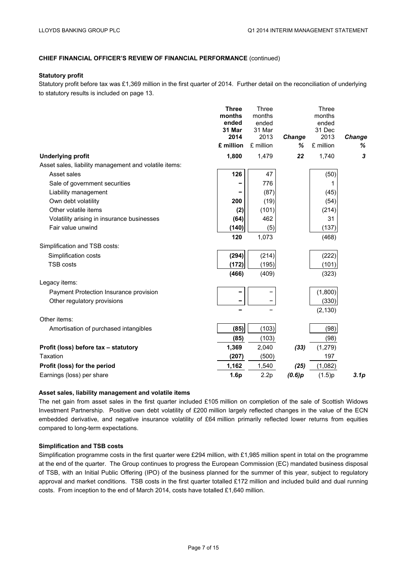#### **Statutory profit**

Statutory profit before tax was £1,369 million in the first quarter of 2014. Further detail on the reconciliation of underlying to statutory results is included on page 13.

|                                                       | <b>Three</b>    | Three           |        | Three           |                  |
|-------------------------------------------------------|-----------------|-----------------|--------|-----------------|------------------|
|                                                       | months          | months          |        | months          |                  |
|                                                       | ended<br>31 Mar | ended<br>31 Mar |        | ended<br>31 Dec |                  |
|                                                       | 2014            | 2013            | Change | 2013            | Change           |
|                                                       | £ million       | £ million       | %      | £ million       | ℅                |
| <b>Underlying profit</b>                              | 1,800           | 1,479           | 22     | 1,740           | 3                |
| Asset sales, liability management and volatile items: |                 |                 |        |                 |                  |
| Asset sales                                           | 126             | 47              |        | (50)            |                  |
| Sale of government securities                         |                 | 776             |        | 1               |                  |
| Liability management                                  |                 | (87)            |        | (45)            |                  |
| Own debt volatility                                   | 200             | (19)            |        | (54)            |                  |
| Other volatile items                                  | (2)             | (101)           |        | (214)           |                  |
| Volatility arising in insurance businesses            | (64)            | 462             |        | 31              |                  |
| Fair value unwind                                     | (140)           | (5)             |        | (137)           |                  |
|                                                       | 120             | 1,073           |        | (468)           |                  |
| Simplification and TSB costs:                         |                 |                 |        |                 |                  |
| Simplification costs                                  | (294)           | (214)           |        | (222)           |                  |
| <b>TSB costs</b>                                      | (172)           | (195)           |        | (101)           |                  |
|                                                       | (466)           | (409)           |        | (323)           |                  |
| Legacy items:                                         |                 |                 |        |                 |                  |
| Payment Protection Insurance provision                |                 |                 |        | (1,800)         |                  |
| Other regulatory provisions                           |                 |                 |        | (330)           |                  |
|                                                       |                 |                 |        | (2, 130)        |                  |
| Other items:                                          |                 |                 |        |                 |                  |
| Amortisation of purchased intangibles                 | (85)            | (103)           |        | (98)            |                  |
|                                                       | (85)            | (103)           |        | (98)            |                  |
| Profit (loss) before tax - statutory                  | 1,369           | 2,040           | (33)   | (1, 279)        |                  |
| Taxation                                              | (207)           | (500)           |        | 197             |                  |
| Profit (loss) for the period                          | 1,162           | 1,540           | (25)   | (1,082)         |                  |
| Earnings (loss) per share                             | 1.6p            | 2.2p            | (0.6)p | (1.5)p          | 3.1 <sub>p</sub> |
|                                                       |                 |                 |        |                 |                  |

#### **Asset sales, liability management and volatile items**

The net gain from asset sales in the first quarter included £105 million on completion of the sale of Scottish Widows Investment Partnership. Positive own debt volatility of £200 million largely reflected changes in the value of the ECN embedded derivative, and negative insurance volatility of £64 million primarily reflected lower returns from equities compared to long-term expectations.

#### **Simplification and TSB costs**

Simplification programme costs in the first quarter were £294 million, with £1,985 million spent in total on the programme at the end of the quarter. The Group continues to progress the European Commission (EC) mandated business disposal of TSB, with an Initial Public Offering (IPO) of the business planned for the summer of this year, subject to regulatory approval and market conditions. TSB costs in the first quarter totalled £172 million and included build and dual running costs. From inception to the end of March 2014, costs have totalled £1,640 million.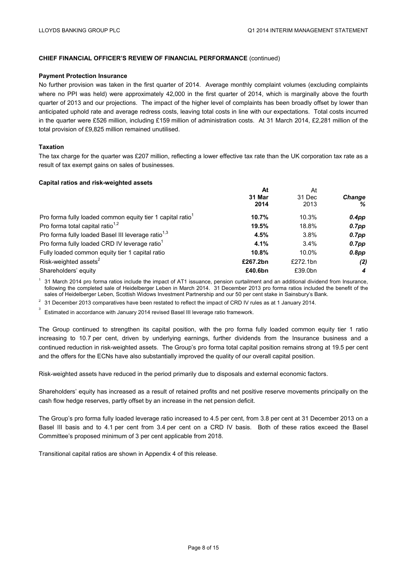#### **Payment Protection Insurance**

No further provision was taken in the first quarter of 2014. Average monthly complaint volumes (excluding complaints where no PPI was held) were approximately 42,000 in the first quarter of 2014, which is marginally above the fourth quarter of 2013 and our projections. The impact of the higher level of complaints has been broadly offset by lower than anticipated uphold rate and average redress costs, leaving total costs in line with our expectations. Total costs incurred in the quarter were £526 million, including £159 million of administration costs. At 31 March 2014, £2,281 million of the total provision of £9,825 million remained unutilised.

#### **Taxation**

The tax charge for the quarter was £207 million, reflecting a lower effective tax rate than the UK corporation tax rate as a result of tax exempt gains on sales of businesses.

#### **Capital ratios and risk-weighted assets**

| At       | At       |               |  |
|----------|----------|---------------|--|
| 31 Mar   | 31 Dec   | <b>Change</b> |  |
| 2014     | 2013     | ℅             |  |
| 10.7%    | 10.3%    | $0.4$ pp      |  |
| 19.5%    | 18.8%    | $0.7$ pp      |  |
| 4.5%     | 3.8%     | $0.7$ pp      |  |
| 4.1%     | $3.4\%$  | $0.7$ pp      |  |
| 10.8%    | 10.0%    | $0.8$ pp      |  |
| £267.2bn | £272.1bn | (2)           |  |
| £40.6bn  | £39.0bn  | 4             |  |
|          |          |               |  |

 $1$  31 March 2014 pro forma ratios include the impact of AT1 issuance, pension curtailment and an additional dividend from Insurance, following the completed sale of Heidelberger Leben in March 2014. 31 December 2013 pro forma ratios included the benefit of the sales of Heidelberger Leben, Scottish Widows Investment Partnership and our 50 per cent stake in Sainsbury's Bank.

 $2$  31 December 2013 comparatives have been restated to reflect the impact of CRD IV rules as at 1 January 2014.

3 Estimated in accordance with January 2014 revised Basel III leverage ratio framework.

The Group continued to strengthen its capital position, with the pro forma fully loaded common equity tier 1 ratio increasing to 10.7 per cent, driven by underlying earnings, further dividends from the Insurance business and a continued reduction in risk-weighted assets. The Group's pro forma total capital position remains strong at 19.5 per cent and the offers for the ECNs have also substantially improved the quality of our overall capital position.

Risk-weighted assets have reduced in the period primarily due to disposals and external economic factors.

Shareholders' equity has increased as a result of retained profits and net positive reserve movements principally on the cash flow hedge reserves, partly offset by an increase in the net pension deficit.

The Group's pro forma fully loaded leverage ratio increased to 4.5 per cent, from 3.8 per cent at 31 December 2013 on a Basel III basis and to 4.1 per cent from 3.4 per cent on a CRD IV basis. Both of these ratios exceed the Basel Committee's proposed minimum of 3 per cent applicable from 2018.

Transitional capital ratios are shown in Appendix 4 of this release.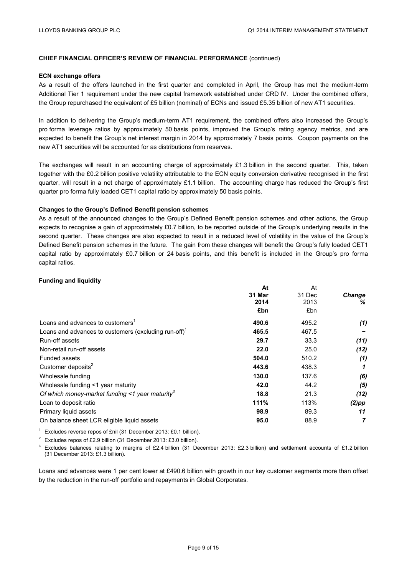#### **ECN exchange offers**

As a result of the offers launched in the first quarter and completed in April, the Group has met the medium-term Additional Tier 1 requirement under the new capital framework established under CRD IV. Under the combined offers, the Group repurchased the equivalent of £5 billion (nominal) of ECNs and issued £5.35 billion of new AT1 securities.

In addition to delivering the Group's medium-term AT1 requirement, the combined offers also increased the Group's pro forma leverage ratios by approximately 50 basis points, improved the Group's rating agency metrics, and are expected to benefit the Group's net interest margin in 2014 by approximately 7 basis points. Coupon payments on the new AT1 securities will be accounted for as distributions from reserves.

The exchanges will result in an accounting charge of approximately £1.3 billion in the second quarter. This, taken together with the £0.2 billion positive volatility attributable to the ECN equity conversion derivative recognised in the first quarter, will result in a net charge of approximately £1.1 billion. The accounting charge has reduced the Group's first quarter pro forma fully loaded CET1 capital ratio by approximately 50 basis points.

#### **Changes to the Group's Defined Benefit pension schemes**

As a result of the announced changes to the Group's Defined Benefit pension schemes and other actions, the Group expects to recognise a gain of approximately £0.7 billion, to be reported outside of the Group's underlying results in the second quarter. These changes are also expected to result in a reduced level of volatility in the value of the Group's Defined Benefit pension schemes in the future. The gain from these changes will benefit the Group's fully loaded CET1 capital ratio by approximately £0.7 billion or 24 basis points, and this benefit is included in the Group's pro forma capital ratios.

#### **Funding and liquidity**

|                                                                  | At     | At     |               |
|------------------------------------------------------------------|--------|--------|---------------|
|                                                                  | 31 Mar | 31 Dec | <b>Change</b> |
|                                                                  | 2014   | 2013   | ℅             |
|                                                                  | £bn    | £bn    |               |
| Loans and advances to customers <sup>1</sup>                     | 490.6  | 495.2  | (1)           |
| Loans and advances to customers (excluding run-off) <sup>1</sup> | 465.5  | 467.5  |               |
| Run-off assets                                                   | 29.7   | 33.3   | (11)          |
| Non-retail run-off assets                                        | 22.0   | 25.0   | (12)          |
| Funded assets                                                    | 504.0  | 510.2  | (1)           |
| Customer deposits <sup>2</sup>                                   | 443.6  | 438.3  |               |
| Wholesale funding                                                | 130.0  | 137.6  | (6)           |
| Wholesale funding <1 year maturity                               | 42.0   | 44.2   | (5)           |
| Of which money-market funding <1 year maturity <sup>3</sup>      | 18.8   | 21.3   | (12)          |
| Loan to deposit ratio                                            | 111%   | 113%   | $(2)$ pp      |
| Primary liquid assets                                            | 98.9   | 89.3   | 11            |
| On balance sheet LCR eligible liquid assets                      | 95.0   | 88.9   |               |
|                                                                  |        |        |               |

<sup>1</sup> Excludes reverse repos of £nil (31 December 2013: £0.1 billion).

<sup>2</sup> Excludes repos of £2.9 billion (31 December 2013: £3.0 billion).<br><sup>3</sup> Excludes balances relating to margins of £2.4 billion (31 December 2013: £2.3 billion) and settlement accounts of £1.2 billion (31 December 2013: £1.3 billion).

Loans and advances were 1 per cent lower at £490.6 billion with growth in our key customer segments more than offset by the reduction in the run-off portfolio and repayments in Global Corporates.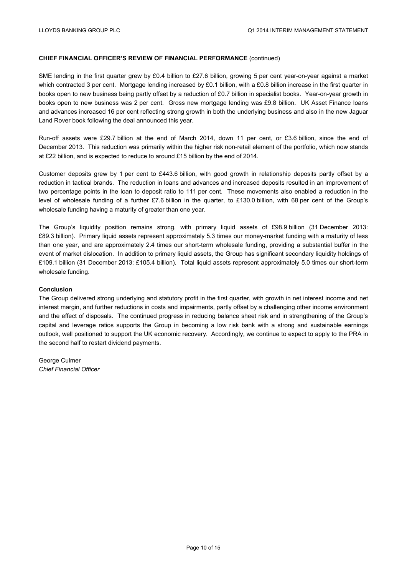SME lending in the first quarter grew by £0.4 billion to £27.6 billion, growing 5 per cent year-on-year against a market which contracted 3 per cent. Mortgage lending increased by £0.1 billion, with a £0.8 billion increase in the first quarter in books open to new business being partly offset by a reduction of £0.7 billion in specialist books. Year-on-year growth in books open to new business was 2 per cent. Gross new mortgage lending was £9.8 billion. UK Asset Finance loans and advances increased 16 per cent reflecting strong growth in both the underlying business and also in the new Jaguar Land Rover book following the deal announced this year.

Run-off assets were £29.7 billion at the end of March 2014, down 11 per cent, or £3.6 billion, since the end of December 2013. This reduction was primarily within the higher risk non-retail element of the portfolio, which now stands at £22 billion, and is expected to reduce to around £15 billion by the end of 2014.

Customer deposits grew by 1 per cent to £443.6 billion, with good growth in relationship deposits partly offset by a reduction in tactical brands. The reduction in loans and advances and increased deposits resulted in an improvement of two percentage points in the loan to deposit ratio to 111 per cent. These movements also enabled a reduction in the level of wholesale funding of a further £7.6 billion in the quarter, to £130.0 billion, with 68 per cent of the Group's wholesale funding having a maturity of greater than one year.

The Group's liquidity position remains strong, with primary liquid assets of £98.9 billion (31 December 2013: £89.3 billion). Primary liquid assets represent approximately 5.3 times our money-market funding with a maturity of less than one year, and are approximately 2.4 times our short-term wholesale funding, providing a substantial buffer in the event of market dislocation. In addition to primary liquid assets, the Group has significant secondary liquidity holdings of £109.1 billion (31 December 2013: £105.4 billion). Total liquid assets represent approximately 5.0 times our short-term wholesale funding.

#### **Conclusion**

The Group delivered strong underlying and statutory profit in the first quarter, with growth in net interest income and net interest margin, and further reductions in costs and impairments, partly offset by a challenging other income environment and the effect of disposals. The continued progress in reducing balance sheet risk and in strengthening of the Group's capital and leverage ratios supports the Group in becoming a low risk bank with a strong and sustainable earnings outlook, well positioned to support the UK economic recovery. Accordingly, we continue to expect to apply to the PRA in the second half to restart dividend payments.

George Culmer *Chief Financial Officer*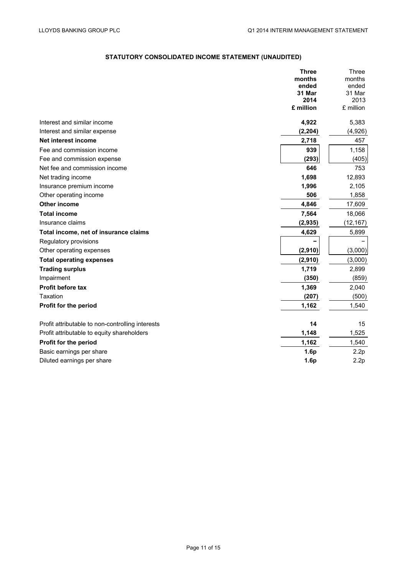### **STATUTORY CONSOLIDATED INCOME STATEMENT (UNAUDITED)**

|                                                  | <b>Three</b>   | Three          |
|--------------------------------------------------|----------------|----------------|
|                                                  | months         | months         |
|                                                  | ended          | ended          |
|                                                  | 31 Mar<br>2014 | 31 Mar<br>2013 |
|                                                  | £ million      | £ million      |
|                                                  |                |                |
| Interest and similar income                      | 4,922          | 5,383          |
| Interest and similar expense                     | (2, 204)       | (4,926)        |
| Net interest income                              | 2,718          | 457            |
| Fee and commission income                        | 939            | 1,158          |
| Fee and commission expense                       | (293)          | (405)          |
| Net fee and commission income                    | 646            | 753            |
| Net trading income                               | 1,698          | 12,893         |
| Insurance premium income                         | 1,996          | 2,105          |
| Other operating income                           | 506            | 1,858          |
| Other income                                     | 4,846          | 17,609         |
| <b>Total income</b>                              | 7,564          | 18,066         |
| Insurance claims                                 | (2, 935)       | (12, 167)      |
| Total income, net of insurance claims            | 4,629          | 5,899          |
| Regulatory provisions                            |                |                |
| Other operating expenses                         | (2,910)        | (3,000)        |
| <b>Total operating expenses</b>                  | (2,910)        | (3,000)        |
| <b>Trading surplus</b>                           | 1,719          | 2,899          |
| Impairment                                       | (350)          | (859)          |
| <b>Profit before tax</b>                         | 1,369          | 2,040          |
| Taxation                                         | (207)          | (500)          |
| Profit for the period                            | 1,162          | 1,540          |
| Profit attributable to non-controlling interests | 14             | 15             |
| Profit attributable to equity shareholders       | 1,148          | 1,525          |
| Profit for the period                            | 1,162          | 1,540          |
| Basic earnings per share                         | 1.6p           | 2.2p           |
| Diluted earnings per share                       | 1.6p           | 2.2p           |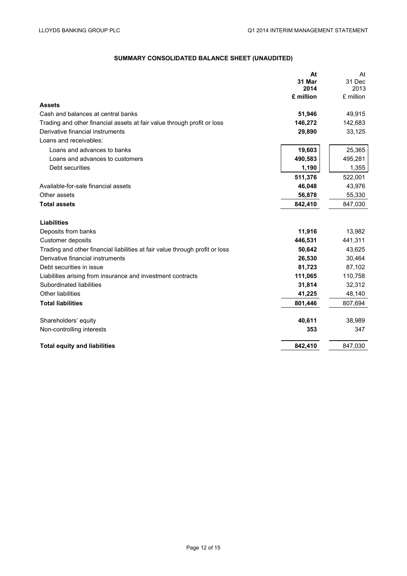#### **SUMMARY CONSOLIDATED BALANCE SHEET (UNAUDITED)**

|                                                                              | At        | At        |
|------------------------------------------------------------------------------|-----------|-----------|
|                                                                              | 31 Mar    | 31 Dec    |
|                                                                              | 2014      | 2013      |
|                                                                              | £ million | £ million |
| <b>Assets</b>                                                                |           |           |
| Cash and balances at central banks                                           | 51,946    | 49,915    |
| Trading and other financial assets at fair value through profit or loss      | 146,272   | 142,683   |
| Derivative financial instruments                                             | 29,890    | 33,125    |
| Loans and receivables:                                                       |           |           |
| Loans and advances to banks                                                  | 19,603    | 25,365    |
| Loans and advances to customers                                              | 490,583   | 495,281   |
| Debt securities                                                              | 1,190     | 1,355     |
|                                                                              | 511,376   | 522,001   |
| Available-for-sale financial assets                                          | 46,048    | 43,976    |
| Other assets                                                                 | 56,878    | 55,330    |
| <b>Total assets</b>                                                          | 842,410   | 847,030   |
| <b>Liabilities</b>                                                           |           |           |
| Deposits from banks                                                          | 11,916    | 13,982    |
| Customer deposits                                                            | 446,531   | 441,311   |
| Trading and other financial liabilities at fair value through profit or loss | 50,642    | 43,625    |
| Derivative financial instruments                                             | 26,530    | 30,464    |
| Debt securities in issue                                                     | 81,723    | 87,102    |
| Liabilities arising from insurance and investment contracts                  | 111,065   | 110,758   |
| Subordinated liabilities                                                     | 31,814    | 32,312    |
| <b>Other liabilities</b>                                                     | 41,225    | 48,140    |
| <b>Total liabilities</b>                                                     | 801,446   | 807,694   |
| Shareholders' equity                                                         | 40,611    | 38,989    |
| Non-controlling interests                                                    | 353       | 347       |
|                                                                              |           |           |
| <b>Total equity and liabilities</b>                                          | 842,410   | 847,030   |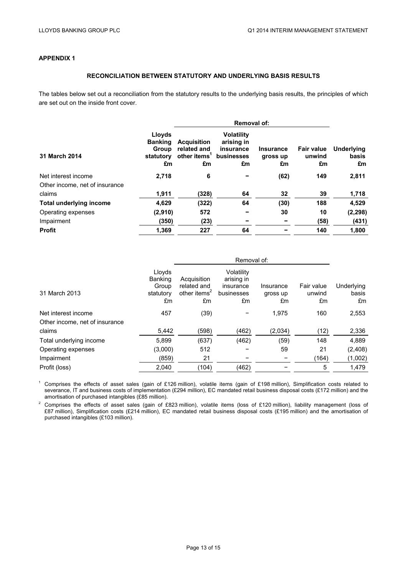#### **APPENDIX 1**

#### **RECONCILIATION BETWEEN STATUTORY AND UNDERLYING BASIS RESULTS**

The tables below set out a reconciliation from the statutory results to the underlying basis results, the principles of which are set out on the inside front cover.

|                                |                                                      | <b>Removal of:</b>                                     |                                                                  |                                    |                                   |                                  |
|--------------------------------|------------------------------------------------------|--------------------------------------------------------|------------------------------------------------------------------|------------------------------------|-----------------------------------|----------------------------------|
| 31 March 2014                  | Lloyds<br><b>Banking</b><br>Group<br>statutory<br>£m | <b>Acquisition</b><br>related and<br>other items<br>£m | <b>Volatility</b><br>arising in<br>insurance<br>businesses<br>£m | <b>Insurance</b><br>gross up<br>£m | <b>Fair value</b><br>unwind<br>£m | <b>Underlying</b><br>basis<br>£m |
| Net interest income            | 2.718                                                | 6                                                      |                                                                  | (62)                               | 149                               | 2,811                            |
| Other income, net of insurance |                                                      |                                                        |                                                                  |                                    |                                   |                                  |
| claims                         | 1,911                                                | (328)                                                  | 64                                                               | 32                                 | 39                                | 1,718                            |
| <b>Total underlying income</b> | 4.629                                                | (322)                                                  | 64                                                               | (30)                               | 188                               | 4,529                            |
| Operating expenses             | (2,910)                                              | 572                                                    |                                                                  | 30                                 | 10                                | (2, 298)                         |
| Impairment                     | (350)                                                | (23)                                                   |                                                                  |                                    | (58)                              | (431)                            |
| <b>Profit</b>                  | 1,369                                                | 227                                                    | 64                                                               |                                    | 140                               | 1,800                            |

|                                | Removal of:                                          |                                                              |                                                           |                             |                            |                           |
|--------------------------------|------------------------------------------------------|--------------------------------------------------------------|-----------------------------------------------------------|-----------------------------|----------------------------|---------------------------|
| 31 March 2013                  | Lloyds<br><b>Banking</b><br>Group<br>statutory<br>£m | Acquisition<br>related and<br>other items <sup>2</sup><br>£m | Volatility<br>arising in<br>insurance<br>businesses<br>£m | Insurance<br>gross up<br>£m | Fair value<br>unwind<br>£m | Underlying<br>basis<br>£m |
| Net interest income            | 457                                                  | (39)                                                         |                                                           | 1,975                       | 160                        | 2,553                     |
| Other income, net of insurance |                                                      |                                                              |                                                           |                             |                            |                           |
| claims                         | 5,442                                                | (598)                                                        | (462)                                                     | (2,034)                     | (12)                       | 2,336                     |
| Total underlying income        | 5,899                                                | (637)                                                        | (462)                                                     | (59)                        | 148                        | 4,889                     |
| Operating expenses             | (3,000)                                              | 512                                                          |                                                           | 59                          | 21                         | (2,408)                   |
| Impairment                     | (859)                                                | 21                                                           |                                                           |                             | (164)                      | (1,002)                   |
| Profit (loss)                  | 2,040                                                | (104)                                                        | (462)                                                     |                             | 5                          | 1,479                     |

<sup>1</sup> Comprises the effects of asset sales (gain of £126 million), volatile items (gain of £198 million), Simplification costs related to severance, IT and business costs of implementation (£294 million), EC mandated retail business disposal costs (£172 million) and the amortisation of purchased intangibles (£85 million).

<sup>2</sup> Comprises the effects of asset sales (gain of £823 million), volatile items (loss of £120 million), liability management (loss of £87 million), Simplification costs (£214 million), EC mandated retail business disposal costs (£195 million) and the amortisation of purchased intangibles (£103 million).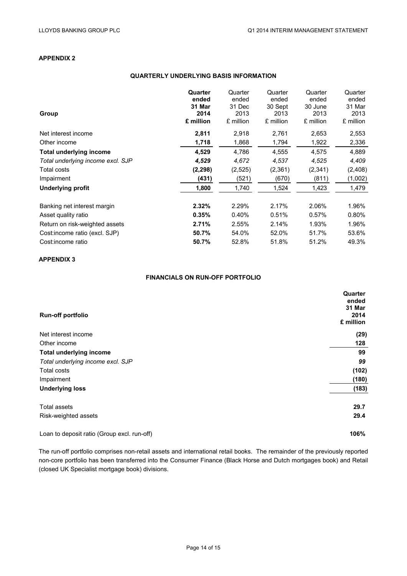#### **APPENDIX 2**

#### **QUARTERLY UNDERLYING BASIS INFORMATION**

| Group                             | Quarter<br>ended<br>31 Mar<br>2014<br>£ million | Quarter<br>ended<br>31 Dec<br>2013<br>£ million | Quarter<br>ended<br>30 Sept<br>2013<br>£ million | Quarter<br>ended<br>30 June<br>2013<br>£ million | Quarter<br>ended<br>31 Mar<br>2013<br>£ million |
|-----------------------------------|-------------------------------------------------|-------------------------------------------------|--------------------------------------------------|--------------------------------------------------|-------------------------------------------------|
| Net interest income               | 2,811                                           | 2,918                                           | 2,761                                            | 2,653                                            | 2,553                                           |
| Other income                      | 1,718                                           | 1,868                                           | 1,794                                            | 1,922                                            | 2,336                                           |
| <b>Total underlying income</b>    | 4,529                                           | 4,786                                           | 4,555                                            | 4,575                                            | 4,889                                           |
| Total underlying income excl. SJP | 4,529                                           | 4,672                                           | 4,537                                            | 4,525                                            | 4,409                                           |
| Total costs                       | (2, 298)                                        | (2,525)                                         | (2,361)                                          | (2, 341)                                         | (2,408)                                         |
| Impairment                        | (431)                                           | (521)                                           | (670)                                            | (811)                                            | (1,002)                                         |
| <b>Underlying profit</b>          | 1,800                                           | 1,740                                           | 1,524                                            | 1,423                                            | 1,479                                           |
| Banking net interest margin       | 2.32%                                           | 2.29%                                           | 2.17%                                            | 2.06%                                            | 1.96%                                           |
| Asset quality ratio               | 0.35%                                           | 0.40%                                           | 0.51%                                            | 0.57%                                            | 0.80%                                           |
| Return on risk-weighted assets    | 2.71%                                           | 2.55%                                           | 2.14%                                            | 1.93%                                            | 1.96%                                           |
| Cost: income ratio (excl. SJP)    | 50.7%                                           | 54.0%                                           | 52.0%                                            | 51.7%                                            | 53.6%                                           |
| Cost:income ratio                 | 50.7%                                           | 52.8%                                           | 51.8%                                            | 51.2%                                            | 49.3%                                           |

#### **APPENDIX 3**

#### **FINANCIALS ON RUN-OFF PORTFOLIO**

| <b>Run-off portfolio</b>          | Quarter<br>ended<br>31 Mar<br>2014<br>£ million |
|-----------------------------------|-------------------------------------------------|
| Net interest income               | (29)                                            |
| Other income                      | 128                                             |
| <b>Total underlying income</b>    | 99                                              |
| Total underlying income excl. SJP | 99                                              |
| <b>Total costs</b>                | (102)                                           |
| Impairment                        | (180)                                           |
| <b>Underlying loss</b>            | (183)                                           |
| <b>Total assets</b>               | 29.7                                            |
| Risk-weighted assets              | 29.4                                            |
|                                   |                                                 |

Loan to deposit ratio (Group excl. run-off) **106%** 

The run-off portfolio comprises non-retail assets and international retail books. The remainder of the previously reported non-core portfolio has been transferred into the Consumer Finance (Black Horse and Dutch mortgages book) and Retail (closed UK Specialist mortgage book) divisions.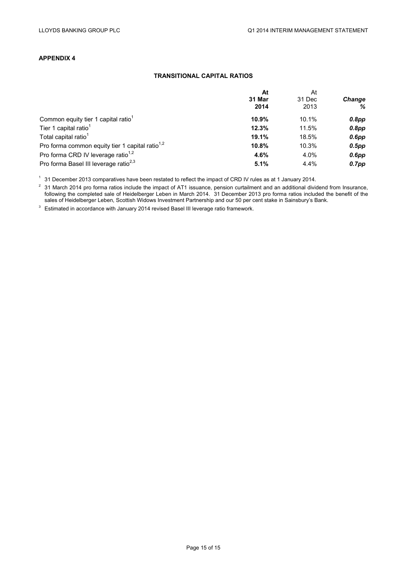#### **APPENDIX 4**

#### **TRANSITIONAL CAPITAL RATIOS**

|                                                             | At<br>31 Mar<br>2014 | At<br>31 Dec<br>2013 | <b>Change</b><br>℅ |
|-------------------------------------------------------------|----------------------|----------------------|--------------------|
|                                                             |                      |                      |                    |
|                                                             |                      |                      |                    |
| Common equity tier 1 capital ratio <sup>1</sup>             | 10.9%                | 10.1%                | $0.8$ pp           |
| Tier 1 capital ratio <sup>1</sup>                           | 12.3%                | 11.5%                | $0.8$ pp           |
| Total capital ratio <sup>1</sup>                            | 19.1%                | 18.5%                | $0.6$ pp           |
| Pro forma common equity tier 1 capital ratio <sup>1,2</sup> | 10.8%                | 10.3%                | $0.5$ pp           |
| Pro forma CRD IV leverage ratio <sup>1,2</sup>              | 4.6%                 | 4.0%                 | $0.6$ pp           |
| Pro forma Basel III leverage ratio <sup>2,3</sup>           | 5.1%                 | 4.4%                 | $0.7$ pp           |

<sup>1</sup> 31 December 2013 comparatives have been restated to reflect the impact of CRD IV rules as at 1 January 2014.

 $^2$  31 March 2014 pro forma ratios include the impact of AT1 issuance, pension curtailment and an additional dividend from Insurance, following the completed sale of Heidelberger Leben in March 2014. 31 December 2013 pro forma ratios included the benefit of the sales of Heidelberger Leben, Scottish Widows Investment Partnership and our 50 per cent stake in Sainsbury's Bank.

<sup>3</sup> Estimated in accordance with January 2014 revised Basel III leverage ratio framework.